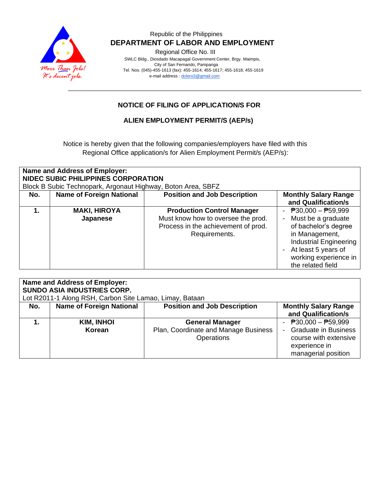

## Republic of the Philippines  **DEPARTMENT OF LABOR AND EMPLOYMENT**

Regional Office No. III

 SWLC Bldg., Diosdado Macapagal Government Center, Brgy. Maimpis, City of San Fernando, Pampanga Tel. Nos. (045)-455-1613 (fax): 455-1614; 455-1617; 455-1618; 455-1619 e-mail address [: dolero3@gmail.com](mailto:dolero3@gmail.com)

## **NOTICE OF FILING OF APPLICATION/S FOR**

### **ALIEN EMPLOYMENT PERMIT/S (AEP/s)**

Notice is hereby given that the following companies/employers have filed with this Regional Office application/s for Alien Employment Permit/s (AEP/s):

| Name and Address of Employer:<br>NIDEC SUBIC PHILIPPINES CORPORATION<br>Block B Subic Technopark, Argonaut Highway, Boton Area, SBFZ |                                 |                                                                                                                                 |                                                                                                                                                                                                                   |  |
|--------------------------------------------------------------------------------------------------------------------------------------|---------------------------------|---------------------------------------------------------------------------------------------------------------------------------|-------------------------------------------------------------------------------------------------------------------------------------------------------------------------------------------------------------------|--|
| No.                                                                                                                                  | <b>Name of Foreign National</b> | <b>Position and Job Description</b>                                                                                             | <b>Monthly Salary Range</b><br>and Qualification/s                                                                                                                                                                |  |
|                                                                                                                                      | <b>MAKI, HIROYA</b><br>Japanese | <b>Production Control Manager</b><br>Must know how to oversee the prod.<br>Process in the achievement of prod.<br>Requirements. | $\overline{P}30,000 - \overline{P}59,999$<br>Must be a graduate<br>of bachelor's degree<br>in Management,<br><b>Industrial Engineering</b><br>- At least 5 years of<br>working experience in<br>the related field |  |

| <b>Name and Address of Employer:</b><br>SUNDO ASIA INDUSTRIES CORP. |                                 |                                                                              |                                                                                                                  |
|---------------------------------------------------------------------|---------------------------------|------------------------------------------------------------------------------|------------------------------------------------------------------------------------------------------------------|
| Lot R2011-1 Along RSH, Carbon Site Lamao, Limay, Bataan             |                                 |                                                                              |                                                                                                                  |
| No.                                                                 | <b>Name of Foreign National</b> | <b>Position and Job Description</b>                                          | <b>Monthly Salary Range</b><br>and Qualification/s                                                               |
|                                                                     | KIM, INHOI<br>Korean            | <b>General Manager</b><br>Plan, Coordinate and Manage Business<br>Operations | - $P30,000 - P59,999$<br>- Graduate in Business<br>course with extensive<br>experience in<br>managerial position |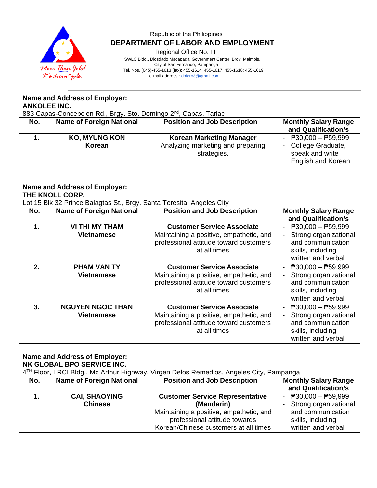

# Republic of the Philippines  **DEPARTMENT OF LABOR AND EMPLOYMENT**

Regional Office No. III

 SWLC Bldg., Diosdado Macapagal Government Center, Brgy. Maimpis, City of San Fernando, Pampanga

 Tel. Nos. (045)-455-1613 (fax): 455-1614; 455-1617; 455-1618; 455-1619 e-mail address [: dolero3@gmail.com](mailto:dolero3@gmail.com)

| <b>Name and Address of Employer:</b><br><b>ANKOLEE INC.</b><br>883 Capas-Concepcion Rd., Brgy. Sto. Domingo 2 <sup>nd</sup> , Capas, Tarlac |                                 |                                                                                     |                                                                                            |
|---------------------------------------------------------------------------------------------------------------------------------------------|---------------------------------|-------------------------------------------------------------------------------------|--------------------------------------------------------------------------------------------|
| No.                                                                                                                                         | <b>Name of Foreign National</b> | <b>Position and Job Description</b>                                                 | <b>Monthly Salary Range</b><br>and Qualification/s                                         |
|                                                                                                                                             | <b>KO, MYUNG KON</b><br>Korean  | <b>Korean Marketing Manager</b><br>Analyzing marketing and preparing<br>strategies. | - $P30,000 - P59,999$<br>College Graduate,<br>speak and write<br><b>English and Korean</b> |

| <b>Name and Address of Employer:</b><br>THE KNOLL CORP. |                                                                       |                                                                                                                                        |                                                                                                                                    |
|---------------------------------------------------------|-----------------------------------------------------------------------|----------------------------------------------------------------------------------------------------------------------------------------|------------------------------------------------------------------------------------------------------------------------------------|
|                                                         | Lot 15 Blk 32 Prince Balagtas St., Brgy. Santa Teresita, Angeles City |                                                                                                                                        |                                                                                                                                    |
| No.                                                     | <b>Name of Foreign National</b>                                       | <b>Position and Job Description</b>                                                                                                    | <b>Monthly Salary Range</b><br>and Qualification/s                                                                                 |
| 1.                                                      | <b>VI THI MY THAM</b><br><b>Vietnamese</b>                            | <b>Customer Service Associate</b><br>Maintaining a positive, empathetic, and<br>professional attitude toward customers<br>at all times | $\overline{P}30,000 - \overline{P}59,999$<br>Strong organizational<br>and communication<br>skills, including<br>written and verbal |
| 2.                                                      | <b>PHAM VAN TY</b><br>Vietnamese                                      | <b>Customer Service Associate</b><br>Maintaining a positive, empathetic, and<br>professional attitude toward customers<br>at all times | $P30,000 - P59,999$<br>Strong organizational<br>and communication<br>skills, including<br>written and verbal                       |
| 3.                                                      | <b>NGUYEN NGOC THAN</b><br><b>Vietnamese</b>                          | <b>Customer Service Associate</b><br>Maintaining a positive, empathetic, and<br>professional attitude toward customers<br>at all times | $\overline{P}30,000 - \overline{P}59,999$<br>Strong organizational<br>and communication<br>skills, including<br>written and verbal |

| Name and Address of Employer:                                                                       |                                 |                                         |                             |  |
|-----------------------------------------------------------------------------------------------------|---------------------------------|-----------------------------------------|-----------------------------|--|
| NK GLOBAL BPO SERVICE INC.                                                                          |                                 |                                         |                             |  |
| 4 <sup>TH</sup> Floor, LRCI Bldg., Mc Arthur Highway, Virgen Delos Remedios, Angeles City, Pampanga |                                 |                                         |                             |  |
| No.                                                                                                 | <b>Name of Foreign National</b> | <b>Position and Job Description</b>     | <b>Monthly Salary Range</b> |  |
|                                                                                                     |                                 |                                         | and Qualification/s         |  |
|                                                                                                     | <b>CAI, SHAOYING</b>            | <b>Customer Service Representative</b>  | - $P30,000 - P59,999$       |  |
|                                                                                                     | <b>Chinese</b>                  | (Mandarin)                              | - Strong organizational     |  |
|                                                                                                     |                                 | Maintaining a positive, empathetic, and | and communication           |  |
|                                                                                                     |                                 | professional attitude towards           | skills, including           |  |
|                                                                                                     |                                 | Korean/Chinese customers at all times   | written and verbal          |  |